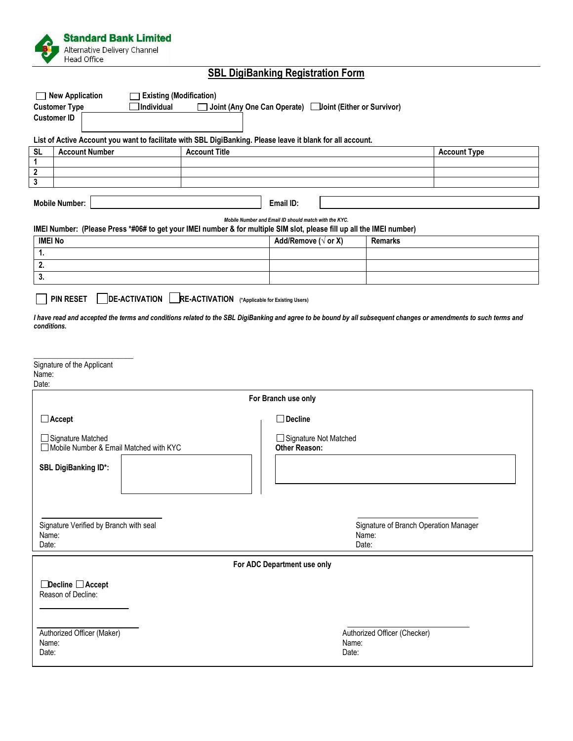

# **SBL DigiBanking Registration Form**

| <b>New Application</b><br><b>Existing (Modification)</b>                                                                                                         |                                        |                      |                                                 |                                                |       |                     |
|------------------------------------------------------------------------------------------------------------------------------------------------------------------|----------------------------------------|----------------------|-------------------------------------------------|------------------------------------------------|-------|---------------------|
| <b>Customer Type</b><br>Individual<br>Joint (Any One Can Operate) Uoint (Either or Survivor)<br><b>Customer ID</b>                                               |                                        |                      |                                                 |                                                |       |                     |
|                                                                                                                                                                  |                                        |                      |                                                 |                                                |       |                     |
| List of Active Account you want to facilitate with SBL DigiBanking. Please leave it blank for all account.                                                       |                                        |                      |                                                 |                                                |       |                     |
| <b>SL</b><br>1                                                                                                                                                   | <b>Account Number</b>                  | <b>Account Title</b> |                                                 |                                                |       | <b>Account Type</b> |
| $\boldsymbol{2}$                                                                                                                                                 |                                        |                      |                                                 |                                                |       |                     |
| 3                                                                                                                                                                |                                        |                      |                                                 |                                                |       |                     |
|                                                                                                                                                                  | <b>Mobile Number:</b>                  |                      | Email ID:                                       |                                                |       |                     |
| Mobile Number and Email ID should match with the KYC.                                                                                                            |                                        |                      |                                                 |                                                |       |                     |
| IMEI Number: (Please Press *#06# to get your IMEI number & for multiple SIM slot, please fill up all the IMEI number)                                            |                                        |                      |                                                 |                                                |       |                     |
| <b>IMEI No</b>                                                                                                                                                   |                                        |                      |                                                 | Add/Remove ( $\sqrt{}$ or X)<br><b>Remarks</b> |       |                     |
| 1.                                                                                                                                                               |                                        |                      |                                                 |                                                |       |                     |
| 2.                                                                                                                                                               |                                        |                      |                                                 |                                                |       |                     |
| 3.                                                                                                                                                               |                                        |                      |                                                 |                                                |       |                     |
| DE-ACTIVATION   RE-ACTIVATION (*Applicable for Existing Users)<br><b>PIN RESET</b>                                                                               |                                        |                      |                                                 |                                                |       |                     |
| I have read and accepted the terms and conditions related to the SBL DigiBanking and agree to be bound by all subsequent changes or amendments to such terms and |                                        |                      |                                                 |                                                |       |                     |
| conditions.                                                                                                                                                      |                                        |                      |                                                 |                                                |       |                     |
|                                                                                                                                                                  |                                        |                      |                                                 |                                                |       |                     |
|                                                                                                                                                                  |                                        |                      |                                                 |                                                |       |                     |
| Signature of the Applicant                                                                                                                                       |                                        |                      |                                                 |                                                |       |                     |
| Name:<br>Date:                                                                                                                                                   |                                        |                      |                                                 |                                                |       |                     |
| For Branch use only                                                                                                                                              |                                        |                      |                                                 |                                                |       |                     |
| $\Box$ Accept<br>$\square$ Decline                                                                                                                               |                                        |                      |                                                 |                                                |       |                     |
|                                                                                                                                                                  |                                        |                      |                                                 |                                                |       |                     |
| $\Box$ Signature Matched<br>Mobile Number & Email Matched with KYC                                                                                               |                                        |                      | □ Signature Not Matched<br><b>Other Reason:</b> |                                                |       |                     |
|                                                                                                                                                                  |                                        |                      |                                                 |                                                |       |                     |
| <b>SBL DigiBanking ID*:</b>                                                                                                                                      |                                        |                      |                                                 |                                                |       |                     |
|                                                                                                                                                                  |                                        |                      |                                                 |                                                |       |                     |
|                                                                                                                                                                  |                                        |                      |                                                 |                                                |       |                     |
|                                                                                                                                                                  |                                        |                      |                                                 |                                                |       |                     |
|                                                                                                                                                                  | Signature Verified by Branch with seal |                      |                                                 | Signature of Branch Operation Manager          |       |                     |
| Name:                                                                                                                                                            |                                        |                      |                                                 | Name:                                          |       |                     |
| Date:                                                                                                                                                            |                                        |                      |                                                 |                                                | Date: |                     |
| For ADC Department use only                                                                                                                                      |                                        |                      |                                                 |                                                |       |                     |
|                                                                                                                                                                  |                                        |                      |                                                 |                                                |       |                     |
| $\Box$ Decline $\Box$ Accept<br>Reason of Decline:                                                                                                               |                                        |                      |                                                 |                                                |       |                     |
|                                                                                                                                                                  |                                        |                      |                                                 |                                                |       |                     |
|                                                                                                                                                                  |                                        |                      |                                                 |                                                |       |                     |
|                                                                                                                                                                  |                                        |                      |                                                 |                                                |       |                     |
| Authorized Officer (Maker)<br>Name:                                                                                                                              |                                        |                      |                                                 | Authorized Officer (Checker)<br>Name:          |       |                     |
| Date:                                                                                                                                                            |                                        |                      |                                                 | Date:                                          |       |                     |
|                                                                                                                                                                  |                                        |                      |                                                 |                                                |       |                     |